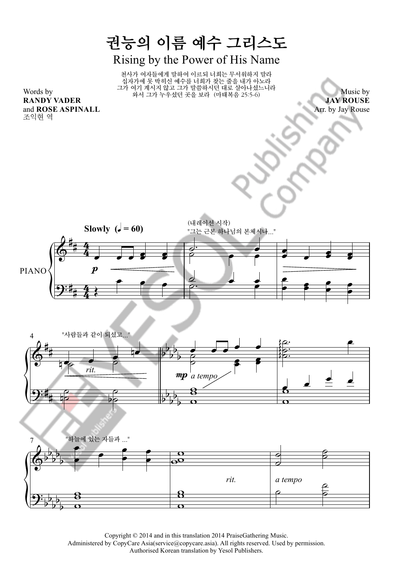## 권능의 이름 예수 그리스도 Rising by the Power of His Name

천사가 여자들에게 말하여 이르되 너희는 무서워하지 말라 십자가에 못 박히신 예수를 너희가 찾는 줄을 내가 아노라 그가 여기 계시지 않고 그가 말씀하시던 대로 살아나셨느니라 와서 그가 누우셨던 곳을 보라 (마태복음 25:5-6)

Words by **RANDY VADER** and **ROSE ASPINALL** 조익현 역

Music by **JAY ROUSE** Arr. by Jay Rouse







Copyright © 2014 and in this translation 2014 PraiseGathering Music.

Administered by CopyCare Asia(service@copycare.asia). All rights reserved. Used by permission.

Authorised Korean translation by Yesol Publishers.